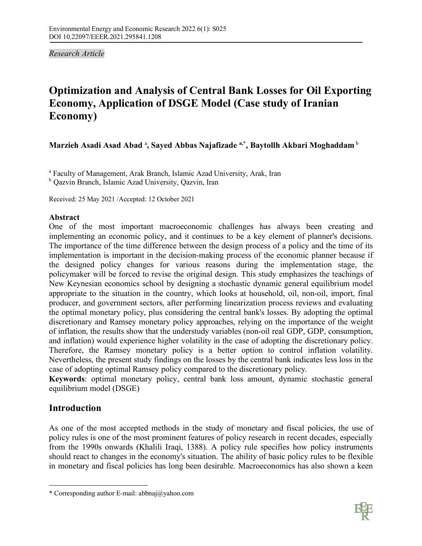*Research Article* 

# **Optimization and Analysis of Central Bank Losses for Oil Exporting Economy, Application of DSGE Model (Case study of Iranian Economy)**

# **Marzieh Asadi Asad Abad** <sup>a</sup> **, Sayed Abbas Najafizade a,\* , Baytollh Akbari Moghaddam** <sup>b</sup>

<sup>a</sup> Faculty of Management, Arak Branch, Islamic Azad University, Arak, Iran

<sup>b</sup> Qazvin Branch, Islamic Azad University, Qazvin, Iran

Received: 25 May 2021 /Accepted: 12 October 2021

# **Abstract**

One of the most important macroeconomic challenges has always been creating and implementing an economic policy, and it continues to be a key element of planner's decisions. The importance of the time difference between the design process of a policy and the time of its implementation is important in the decision-making process of the economic planner because if the designed policy changes for various reasons during the implementation stage, the policymaker will be forced to revise the original design. This study emphasizes the teachings of New Keynesian economics school by designing a stochastic dynamic general equilibrium model appropriate to the situation in the country, which looks at household, oil, non-oil, import, final producer, and government sectors, after performing linearization process reviews and evaluating the optimal monetary policy, plus considering the central bank's losses. By adopting the optimal discretionary and Ramsey monetary policy approaches, relying on the importance of the weight of inflation, the results show that the understudy variables (non-oil real GDP, GDP, consumption, and inflation) would experience higher volatility in the case of adopting the discretionary policy. Therefore, the Ramsey monetary policy is a better option to control inflation volatility. Nevertheless, the present study findings on the losses by the central bank indicates less loss in the case of adopting optimal Ramsey policy compared to the discretionary policy.

**Keywords**: optimal monetary policy, central bank loss amount, dynamic stochastic general equilibrium model (DSGE)

# **Introduction**

 $\overline{a}$ 

As one of the most accepted methods in the study of monetary and fiscal policies, the use of policy rules is one of the most prominent features of policy research in recent decades, especially from the 1990s onwards (Khalili Iraqi, 1388). A policy rule specifies how policy instruments should react to changes in the economy's situation. The ability of basic policy rules to be flexible in monetary and fiscal policies has long been desirable. Macroeconomics has also shown a keen



<sup>\*</sup> Corresponding author E-mail: abbnaj@yahoo.com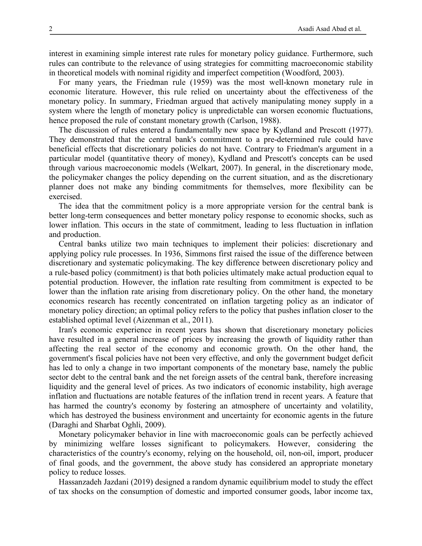interest in examining simple interest rate rules for monetary policy guidance. Furthermore, such rules can contribute to the relevance of using strategies for committing macroeconomic stability in theoretical models with nominal rigidity and imperfect competition (Woodford, 2003).

For many years, the Friedman rule (1959) was the most well-known monetary rule in economic literature. However, this rule relied on uncertainty about the effectiveness of the monetary policy. In summary, Friedman argued that actively manipulating money supply in a system where the length of monetary policy is unpredictable can worsen economic fluctuations, hence proposed the rule of constant monetary growth (Carlson, 1988).

The discussion of rules entered a fundamentally new space by Kydland and Prescott (1977). They demonstrated that the central bank's commitment to a pre-determined rule could have beneficial effects that discretionary policies do not have. Contrary to Friedman's argument in a particular model (quantitative theory of money), Kydland and Prescott's concepts can be used through various macroeconomic models (Welkart, 2007). In general, in the discretionary mode, the policymaker changes the policy depending on the current situation, and as the discretionary planner does not make any binding commitments for themselves, more flexibility can be exercised.

The idea that the commitment policy is a more appropriate version for the central bank is better long-term consequences and better monetary policy response to economic shocks, such as lower inflation. This occurs in the state of commitment, leading to less fluctuation in inflation and production.

Central banks utilize two main techniques to implement their policies: discretionary and applying policy rule processes. In 1936, Simmons first raised the issue of the difference between discretionary and systematic policymaking. The key difference between discretionary policy and a rule-based policy (commitment) is that both policies ultimately make actual production equal to potential production. However, the inflation rate resulting from commitment is expected to be lower than the inflation rate arising from discretionary policy. On the other hand, the monetary economics research has recently concentrated on inflation targeting policy as an indicator of monetary policy direction; an optimal policy refers to the policy that pushes inflation closer to the established optimal level (Aizenman et al., 2011).

Iran's economic experience in recent years has shown that discretionary monetary policies have resulted in a general increase of prices by increasing the growth of liquidity rather than affecting the real sector of the economy and economic growth. On the other hand, the government's fiscal policies have not been very effective, and only the government budget deficit has led to only a change in two important components of the monetary base, namely the public sector debt to the central bank and the net foreign assets of the central bank, therefore increasing liquidity and the general level of prices. As two indicators of economic instability, high average inflation and fluctuations are notable features of the inflation trend in recent years. A feature that has harmed the country's economy by fostering an atmosphere of uncertainty and volatility, which has destroyed the business environment and uncertainty for economic agents in the future (Daraghi and Sharbat Oghli, 2009).

Monetary policymaker behavior in line with macroeconomic goals can be perfectly achieved by minimizing welfare losses significant to policymakers. However, considering the characteristics of the country's economy, relying on the household, oil, non-oil, import, producer of final goods, and the government, the above study has considered an appropriate monetary policy to reduce losses.

Hassanzadeh Jazdani (2019) designed a random dynamic equilibrium model to study the effect of tax shocks on the consumption of domestic and imported consumer goods, labor income tax,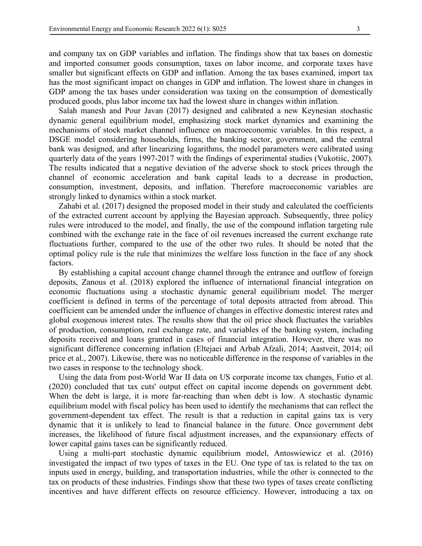and company tax on GDP variables and inflation. The findings show that tax bases on domestic and imported consumer goods consumption, taxes on labor income, and corporate taxes have smaller but significant effects on GDP and inflation. Among the tax bases examined, import tax has the most significant impact on changes in GDP and inflation. The lowest share in changes in GDP among the tax bases under consideration was taxing on the consumption of domestically produced goods, plus labor income tax had the lowest share in changes within inflation.

Salah manesh and Pour Javan (2017) designed and calibrated a new Keynesian stochastic dynamic general equilibrium model, emphasizing stock market dynamics and examining the mechanisms of stock market channel influence on macroeconomic variables. In this respect, a DSGE model considering households, firms, the banking sector, government, and the central bank was designed, and after linearizing logarithms, the model parameters were calibrated using quarterly data of the years 1997-2017 with the findings of experimental studies (Vukotiśc, 2007). The results indicated that a negative deviation of the adverse shock to stock prices through the channel of economic acceleration and bank capital leads to a decrease in production, consumption, investment, deposits, and inflation. Therefore macroeconomic variables are strongly linked to dynamics within a stock market.

Zahabi et al. (2017) designed the proposed model in their study and calculated the coefficients of the extracted current account by applying the Bayesian approach. Subsequently, three policy rules were introduced to the model, and finally, the use of the compound inflation targeting rule combined with the exchange rate in the face of oil revenues increased the current exchange rate fluctuations further, compared to the use of the other two rules. It should be noted that the optimal policy rule is the rule that minimizes the welfare loss function in the face of any shock factors.

By establishing a capital account change channel through the entrance and outflow of foreign deposits, Zanous et al. (2018) explored the influence of international financial integration on economic fluctuations using a stochastic dynamic general equilibrium model. The merger coefficient is defined in terms of the percentage of total deposits attracted from abroad. This coefficient can be amended under the influence of changes in effective domestic interest rates and global exogenous interest rates. The results show that the oil price shock fluctuates the variables of production, consumption, real exchange rate, and variables of the banking system, including deposits received and loans granted in cases of financial integration. However, there was no significant difference concerning inflation (Eltejaei and Arbab Afzali, 2014; Aastveit, 2014; oil price et al., 2007). Likewise, there was no noticeable difference in the response of variables in the two cases in response to the technology shock.

Using the data from post-World War II data on US corporate income tax changes, Futio et al. (2020) concluded that tax cuts' output effect on capital income depends on government debt. When the debt is large, it is more far-reaching than when debt is low. A stochastic dynamic equilibrium model with fiscal policy has been used to identify the mechanisms that can reflect the government-dependent tax effect. The result is that a reduction in capital gains tax is very dynamic that it is unlikely to lead to financial balance in the future. Once government debt increases, the likelihood of future fiscal adjustment increases, and the expansionary effects of lower capital gains taxes can be significantly reduced.

Using a multi-part stochastic dynamic equilibrium model, Antoswiewicz et al. (2016) investigated the impact of two types of taxes in the EU. One type of tax is related to the tax on inputs used in energy, building, and transportation industries, while the other is connected to the tax on products of these industries. Findings show that these two types of taxes create conflicting incentives and have different effects on resource efficiency. However, introducing a tax on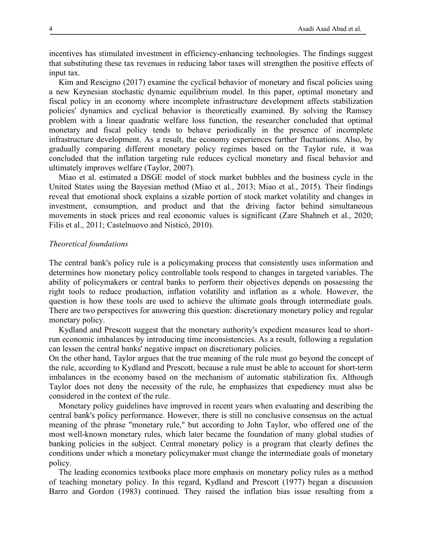incentives has stimulated investment in efficiency-enhancing technologies. The findings suggest that substituting these tax revenues in reducing labor taxes will strengthen the positive effects of input tax.

Kim and Rescigno (2017) examine the cyclical behavior of monetary and fiscal policies using a new Keynesian stochastic dynamic equilibrium model. In this paper, optimal monetary and fiscal policy in an economy where incomplete infrastructure development affects stabilization policies' dynamics and cyclical behavior is theoretically examined. By solving the Ramsey problem with a linear quadratic welfare loss function, the researcher concluded that optimal monetary and fiscal policy tends to behave periodically in the presence of incomplete infrastructure development. As a result, the economy experiences further fluctuations. Also, by gradually comparing different monetary policy regimes based on the Taylor rule, it was concluded that the inflation targeting rule reduces cyclical monetary and fiscal behavior and ultimately improves welfare (Taylor, 2007).

Miao et al. estimated a DSGE model of stock market bubbles and the business cycle in the United States using the Bayesian method (Miao et al., 2013; Miao et al., 2015). Their findings reveal that emotional shock explains a sizable portion of stock market volatility and changes in investment, consumption, and product and that the driving factor behind simultaneous movements in stock prices and real economic values is significant (Zare Shahneh et al., 2020; Filis et al., 2011; Castelnuovo and Nisticò, 2010).

# *Theoretical foundations*

The central bank's policy rule is a policymaking process that consistently uses information and determines how monetary policy controllable tools respond to changes in targeted variables. The ability of policymakers or central banks to perform their objectives depends on possessing the right tools to reduce production, inflation volatility and inflation as a whole. However, the question is how these tools are used to achieve the ultimate goals through intermediate goals. There are two perspectives for answering this question: discretionary monetary policy and regular monetary policy.

Kydland and Prescott suggest that the monetary authority's expedient measures lead to shortrun economic imbalances by introducing time inconsistencies. As a result, following a regulation can lessen the central banks' negative impact on discretionary policies.

On the other hand, Taylor argues that the true meaning of the rule must go beyond the concept of the rule, according to Kydland and Prescott, because a rule must be able to account for short-term imbalances in the economy based on the mechanism of automatic stabilization fix. Although Taylor does not deny the necessity of the rule, he emphasizes that expediency must also be considered in the context of the rule.

Monetary policy guidelines have improved in recent years when evaluating and describing the central bank's policy performance. However, there is still no conclusive consensus on the actual meaning of the phrase "monetary rule," but according to John Taylor, who offered one of the most well-known monetary rules, which later became the foundation of many global studies of banking policies in the subject. Central monetary policy is a program that clearly defines the conditions under which a monetary policymaker must change the intermediate goals of monetary policy.

The leading economics textbooks place more emphasis on monetary policy rules as a method of teaching monetary policy. In this regard, Kydland and Prescott (1977) began a discussion Barro and Gordon (1983) continued. They raised the inflation bias issue resulting from a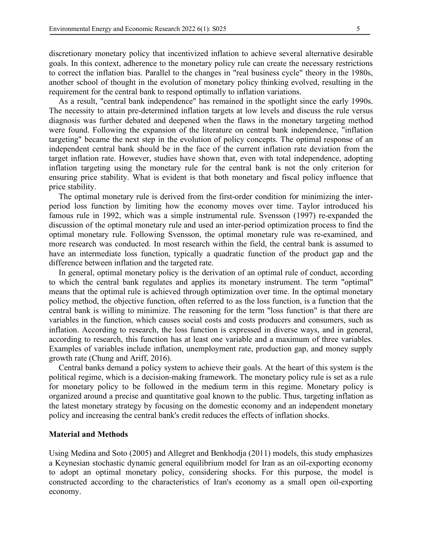discretionary monetary policy that incentivized inflation to achieve several alternative desirable goals. In this context, adherence to the monetary policy rule can create the necessary restrictions to correct the inflation bias. Parallel to the changes in "real business cycle" theory in the 1980s, another school of thought in the evolution of monetary policy thinking evolved, resulting in the requirement for the central bank to respond optimally to inflation variations.

As a result, "central bank independence" has remained in the spotlight since the early 1990s. The necessity to attain pre-determined inflation targets at low levels and discuss the rule versus diagnosis was further debated and deepened when the flaws in the monetary targeting method were found. Following the expansion of the literature on central bank independence, "inflation targeting" became the next step in the evolution of policy concepts. The optimal response of an independent central bank should be in the face of the current inflation rate deviation from the target inflation rate. However, studies have shown that, even with total independence, adopting inflation targeting using the monetary rule for the central bank is not the only criterion for ensuring price stability. What is evident is that both monetary and fiscal policy influence that price stability.

The optimal monetary rule is derived from the first-order condition for minimizing the interperiod loss function by limiting how the economy moves over time. Taylor introduced his famous rule in 1992, which was a simple instrumental rule. Svensson (1997) re-expanded the discussion of the optimal monetary rule and used an inter-period optimization process to find the optimal monetary rule. Following Svensson, the optimal monetary rule was re-examined, and more research was conducted. In most research within the field, the central bank is assumed to have an intermediate loss function, typically a quadratic function of the product gap and the difference between inflation and the targeted rate.

In general, optimal monetary policy is the derivation of an optimal rule of conduct, according to which the central bank regulates and applies its monetary instrument. The term "optimal" means that the optimal rule is achieved through optimization over time. In the optimal monetary policy method, the objective function, often referred to as the loss function, is a function that the central bank is willing to minimize. The reasoning for the term "loss function" is that there are variables in the function, which causes social costs and costs producers and consumers, such as inflation. According to research, the loss function is expressed in diverse ways, and in general, according to research, this function has at least one variable and a maximum of three variables. Examples of variables include inflation, unemployment rate, production gap, and money supply growth rate (Chung and Ariff, 2016).

Central banks demand a policy system to achieve their goals. At the heart of this system is the political regime, which is a decision-making framework. The monetary policy rule is set as a rule for monetary policy to be followed in the medium term in this regime. Monetary policy is organized around a precise and quantitative goal known to the public. Thus, targeting inflation as the latest monetary strategy by focusing on the domestic economy and an independent monetary policy and increasing the central bank's credit reduces the effects of inflation shocks.

# **Material and Methods**

Using Medina and Soto (2005) and Allegret and Benkhodja (2011) models, this study emphasizes a Keynesian stochastic dynamic general equilibrium model for Iran as an oil-exporting economy to adopt an optimal monetary policy, considering shocks. For this purpose, the model is constructed according to the characteristics of Iran's economy as a small open oil-exporting economy.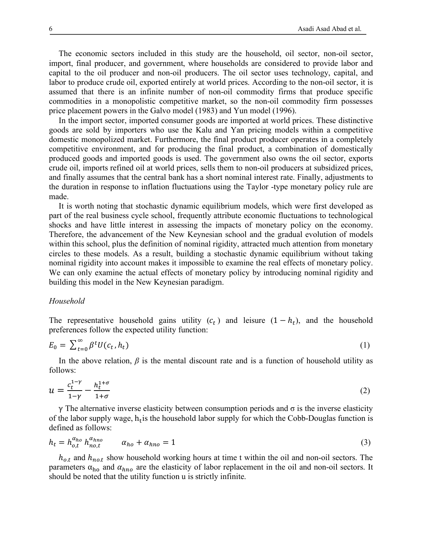The economic sectors included in this study are the household, oil sector, non-oil sector, import, final producer, and government, where households are considered to provide labor and capital to the oil producer and non-oil producers. The oil sector uses technology, capital, and labor to produce crude oil, exported entirely at world prices. According to the non-oil sector, it is assumed that there is an infinite number of non-oil commodity firms that produce specific commodities in a monopolistic competitive market, so the non-oil commodity firm possesses price placement powers in the Galvo model (1983) and Yun model (1996).

In the import sector, imported consumer goods are imported at world prices. These distinctive goods are sold by importers who use the Kalu and Yan pricing models within a competitive domestic monopolized market. Furthermore, the final product producer operates in a completely competitive environment, and for producing the final product, a combination of domestically produced goods and imported goods is used. The government also owns the oil sector, exports crude oil, imports refined oil at world prices, sells them to non-oil producers at subsidized prices, and finally assumes that the central bank has a short nominal interest rate. Finally, adjustments to the duration in response to inflation fluctuations using the Taylor -type monetary policy rule are made.

It is worth noting that stochastic dynamic equilibrium models, which were first developed as part of the real business cycle school, frequently attribute economic fluctuations to technological shocks and have little interest in assessing the impacts of monetary policy on the economy. Therefore, the advancement of the New Keynesian school and the gradual evolution of models within this school, plus the definition of nominal rigidity, attracted much attention from monetary circles to these models. As a result, building a stochastic dynamic equilibrium without taking nominal rigidity into account makes it impossible to examine the real effects of monetary policy. We can only examine the actual effects of monetary policy by introducing nominal rigidity and building this model in the New Keynesian paradigm.

#### *Household*

The representative household gains utility  $(c_t)$  and leisure  $(1 - h_t)$ , and the household preferences follow the expected utility function:

$$
E_0 = \sum_{t=0}^{\infty} \beta^t U(c_t, h_t)
$$
 (1)

In the above relation,  $\beta$  is the mental discount rate and is a function of household utility as follows:

$$
u = \frac{c_t^{1-\gamma}}{1-\gamma} - \frac{h_t^{1+\sigma}}{1+\sigma} \tag{2}
$$

γ The alternative inverse elasticity between consumption periods and σ is the inverse elasticity of the labor supply wage,  $h_t$  is the household labor supply for which the Cobb-Douglas function is defined as follows:

$$
h_t = h_{o,t}^{\alpha_{ho}} h_{no,t}^{\alpha_{hno}} \qquad \alpha_{ho} + \alpha_{hno} = 1 \tag{3}
$$

 $h_{o,t}$  and  $h_{no,t}$  show household working hours at time t within the oil and non-oil sectors. The parameters  $\alpha_{ho}$  and  $\alpha_{hno}$  are the elasticity of labor replacement in the oil and non-oil sectors. It should be noted that the utility function u is strictly infinite.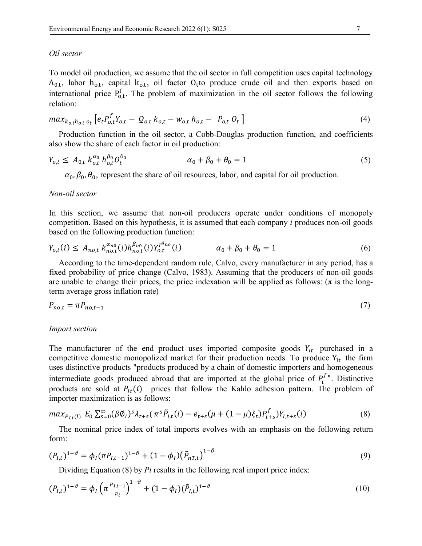#### *Oil sector*

To model oil production, we assume that the oil sector in full competition uses capital technology  $A_{0,t}$ , labor  $h_{0,t}$ , capital  $k_{0,t}$ , oil factor  $O_t$ to produce crude oil and then exports based on international price  $P_{o,t}^f$ . The problem of maximization in the oil sector follows the following relation:

$$
max_{k_{o,t}h_{o,t}} \big[ e_t P_{o,t}^f Y_{o,t} - Q_{o,t} k_{o,t} - w_{o,t} h_{o,t} - P_{o,t} O_t \big] \tag{4}
$$

Production function in the oil sector, a Cobb-Douglas production function, and coefficients also show the share of each factor in oil production:

$$
Y_{o,t} \leq A_{0,t} k_{o,t}^{\alpha_0} h_{o,t}^{\beta_0} O_t^{\theta_0} \qquad \alpha_0 + \beta_0 + \theta_0 = 1 \tag{5}
$$

 $\alpha_0$ ,  $\beta_0$ ,  $\theta_0$ , represent the share of oil resources, labor, and capital for oil production.

### *Non-oil sector*

In this section, we assume that non-oil producers operate under conditions of monopoly competition. Based on this hypothesis, it is assumed that each company *i* produces non-oil goods based on the following production function:

$$
Y_{o,t}(i) \leq A_{no,t} k_{no,t}^{\alpha_{no}}(i) h_{no,t}^{\beta_{no}}(i) Y_{o,t}^{l_{no}}(i) \qquad \alpha_0 + \beta_0 + \theta_0 = 1 \tag{6}
$$

According to the time-dependent random rule, Calvo, every manufacturer in any period, has a fixed probability of price change (Calvo, 1983). Assuming that the producers of non-oil goods are unable to change their prices, the price indexation will be applied as follows:  $(\pi$  is the longterm average gross inflation rate)

$$
P_{no,t} = \pi P_{no,t-1} \tag{7}
$$

#### *Import section*

The manufacturer of the end product uses imported composite goods  $Y_{It}$  purchased in a competitive domestic monopolized market for their production needs. To produce  $Y_{It}$  the firm uses distinctive products "products produced by a chain of domestic importers and homogeneous intermediate goods produced abroad that are imported at the global price of  $P_t^f$ ". Distinctive products are sold at  $P_{lt}(i)$  prices that follow the Kahlo adhesion pattern. The problem of importer maximization is as follows:

$$
max_{P_{I,t}(i)} E_0 \sum_{s=0}^{\infty} (\beta \emptyset_I)^s \lambda_{t+s} (\pi^s \tilde{P}_{I,t}(i) - e_{t+s} (\mu + (1-\mu)\xi_t) P_{t+s}^f) Y_{I,t+s}(i)
$$
(8)

The nominal price index of total imports evolves with an emphasis on the following return form:

$$
(P_{I,t})^{1-\vartheta} = \phi_I (\pi P_{I,t-1})^{1-\vartheta} + (1-\phi_I) (\tilde{P}_{nT,t})^{1-\vartheta}
$$
\n(9)

Dividing Equation (8) by *Pt* results in the following real import price index:

$$
(P_{I,t})^{1-\vartheta} = \phi_I \left( \pi \frac{P_{I,t-1}}{\pi_t} \right)^{1-\vartheta} + (1-\phi_I)(\tilde{P}_{I,t})^{1-\vartheta} \tag{10}
$$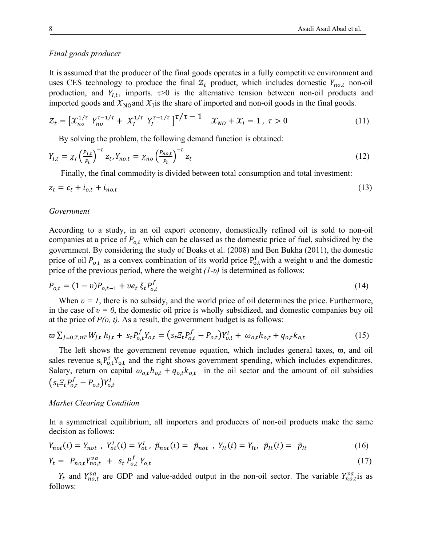# *Final goods producer*

It is assumed that the producer of the final goods operates in a fully competitive environment and uses CES technology to produce the final  $Z_t$  product, which includes domestic  $Y_{n_0,t}$  non-oil production, and  $Y_{i,t}$ , imports.  $\tau > 0$  is the alternative tension between non-oil products and imported goods and  $\mathcal{X}_{\text{NO}}$  and  $\mathcal{X}_{\text{I}}$  is the share of imported and non-oil goods in the final goods.

$$
\mathcal{Z}_t = \left[ \mathcal{X}_{no}^{1/\tau} \ Y_{no}^{\tau - 1/\tau} + \mathcal{X}_l^{1/\tau} \ Y_l^{\tau - 1/\tau} \right]^{\tau/\tau - 1} \quad \mathcal{X}_{NO} + \mathcal{X}_l = 1, \ \tau > 0 \tag{11}
$$

By solving the problem, the following demand function is obtained:

$$
Y_{l,t} = \chi_l \left(\frac{P_{l,t}}{P_t}\right)^{-\tau} z_t, Y_{no,t} = \chi_{no} \left(\frac{P_{no,t}}{P_t}\right)^{-\tau} z_t
$$
\n(12)

Finally, the final commodity is divided between total consumption and total investment:

$$
z_t = c_t + i_{o,t} + i_{no,t} \tag{13}
$$

#### *Government*

According to a study, in an oil export economy, domestically refined oil is sold to non-oil companies at a price of  $P_{o,t}$  which can be classed as the domestic price of fuel, subsidized by the government. By considering the study of Boaks et al. (2008) and Ben Bukha (2011), the domestic price of oil  $P_{o,t}$  as a convex combination of its world price  $P_{o,t}^f$  with a weight v and the domestic price of the previous period, where the weight *(1-υ)* is determined as follows:

$$
P_{o,t} = (1 - v)P_{o,t-1} + v e_t \xi_t P_{o,t}^f
$$
\n(14)

When  $\nu = I$ , there is no subsidy, and the world price of oil determines the price. Furthermore, in the case of  $v = 0$ , the domestic oil price is wholly subsidized, and domestic companies buy oil at the price of  $P(o, t)$ . As a result, the government budget is as follows:

$$
\varpi \sum_{j=0,T,nT} W_{j,t} h_{j,t} + s_t P_{o,t}^f Y_{o,t} = (s_t \varXi_t P_{o,t}^f - P_{o,t}) Y_{o,t}^I + \omega_{o,t} h_{o,t} + q_{o,t} k_{o,t} \tag{15}
$$

The left shows the government revenue equation, which includes general taxes,  $\varpi$ , and oil sales revenue  $s_t P_{o,t}^f Y_{o,t}$  and the right shows government spending, which includes expenditures. Salary, return on capital  $\omega_{o,t} h_{o,t} + q_{o,t} k_{o,t}$  in the oil sector and the amount of oil subsidies  $(s_t E_t P_{o,t}^f - P_{o,t}) Y_{o,t}^I$ 

### *Market Clearing Condition*

In a symmetrical equilibrium, all importers and producers of non-oil products make the same decision as follows:

$$
Y_{not}(i) = Y_{not} , Y_{ot}^I(i) = Y_{ot}^I , \ \tilde{p}_{not}(i) = \tilde{p}_{not} , Y_{lt}(i) = Y_{lt} , \ \tilde{p}_{lt}(i) = \tilde{p}_{lt}
$$
  
\n
$$
Y_t = P_{no,t} Y_{no,t}^{va} + s_t P_{o,t}^f Y_{o,t}
$$
\n(17)

 $Y_t$  and  $Y_{no,t}^{\nu a}$  are GDP and value-added output in the non-oil sector. The variable  $Y_{no,t}^{\nu a}$  is as follows: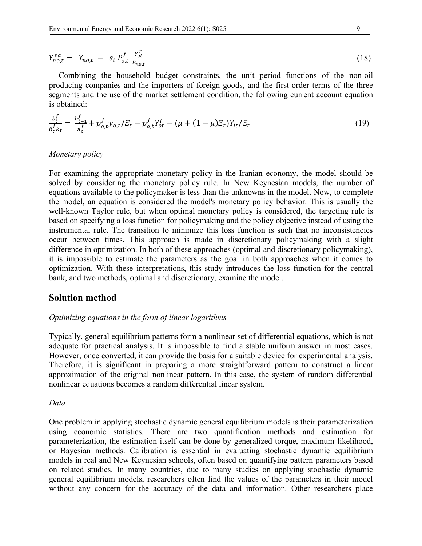$$
Y_{no,t}^{va} = Y_{no,t} - S_t P_{o,t}^f \frac{Y_{ot}^T}{P_{no,t}}
$$
 (18)

Combining the household budget constraints, the unit period functions of the non-oil producing companies and the importers of foreign goods, and the first-order terms of the three segments and the use of the market settlement condition, the following current account equation is obtained:

$$
\frac{b_t^f}{R_t^f k_t} = \frac{b_{t-1}^f}{\pi_t^f} + p_{o,t}^f y_{o,t} / \mathcal{E}_t - p_{o,t}^f Y_{ot}^I - (\mu + (1 - \mu)\mathcal{E}_t) Y_{lt} / \mathcal{E}_t \tag{19}
$$

### *Monetary policy*

For examining the appropriate monetary policy in the Iranian economy, the model should be solved by considering the monetary policy rule. In New Keynesian models, the number of equations available to the policymaker is less than the unknowns in the model. Now, to complete the model, an equation is considered the model's monetary policy behavior. This is usually the well-known Taylor rule, but when optimal monetary policy is considered, the targeting rule is based on specifying a loss function for policymaking and the policy objective instead of using the instrumental rule. The transition to minimize this loss function is such that no inconsistencies occur between times. This approach is made in discretionary policymaking with a slight difference in optimization. In both of these approaches (optimal and discretionary policymaking), it is impossible to estimate the parameters as the goal in both approaches when it comes to optimization. With these interpretations, this study introduces the loss function for the central bank, and two methods, optimal and discretionary, examine the model.

# **Solution method**

### *Optimizing equations in the form of linear logarithms*

Typically, general equilibrium patterns form a nonlinear set of differential equations, which is not adequate for practical analysis. It is impossible to find a stable uniform answer in most cases. However, once converted, it can provide the basis for a suitable device for experimental analysis. Therefore, it is significant in preparing a more straightforward pattern to construct a linear approximation of the original nonlinear pattern. In this case, the system of random differential nonlinear equations becomes a random differential linear system.

# *Data*

One problem in applying stochastic dynamic general equilibrium models is their parameterization using economic statistics. There are two quantification methods and estimation for parameterization, the estimation itself can be done by generalized torque, maximum likelihood, or Bayesian methods. Calibration is essential in evaluating stochastic dynamic equilibrium models in real and New Keynesian schools, often based on quantifying pattern parameters based on related studies. In many countries, due to many studies on applying stochastic dynamic general equilibrium models, researchers often find the values of the parameters in their model without any concern for the accuracy of the data and information. Other researchers place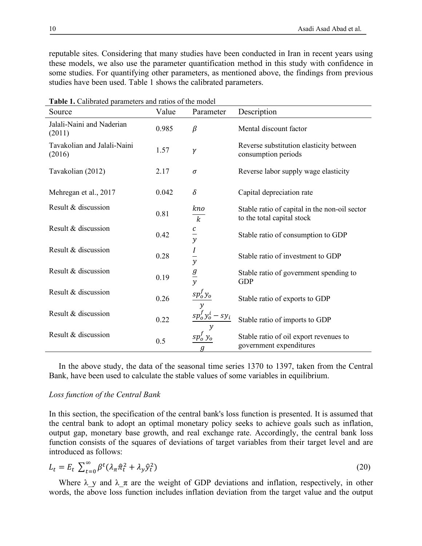reputable sites. Considering that many studies have been conducted in Iran in recent years using these models, we also use the parameter quantification method in this study with confidence in some studies. For quantifying other parameters, as mentioned above, the findings from previous studies have been used. Table 1 shows the calibrated parameters.

| Source                                | Value | Parameter                        | Description                                                                 |
|---------------------------------------|-------|----------------------------------|-----------------------------------------------------------------------------|
| Jalali-Naini and Naderian<br>(2011)   | 0.985 | $\beta$                          | Mental discount factor                                                      |
| Tavakolian and Jalali-Naini<br>(2016) | 1.57  | $\gamma$                         | Reverse substitution elasticity between<br>consumption periods              |
| Tavakolian (2012)                     | 2.17  | $\sigma$                         | Reverse labor supply wage elasticity                                        |
| Mehregan et al., 2017                 | 0.042 | $\delta$                         | Capital depreciation rate                                                   |
| Result & discussion                   | 0.81  | kno<br>$\overline{k}$            | Stable ratio of capital in the non-oil sector<br>to the total capital stock |
| Result & discussion                   | 0.42  | $rac{c}{y}$                      | Stable ratio of consumption to GDP                                          |
| Result & discussion                   | 0.28  | $rac{1}{y}$                      | Stable ratio of investment to GDP                                           |
| Result & discussion                   | 0.19  | $\frac{g}{y}$                    | Stable ratio of government spending to<br><b>GDP</b>                        |
| Result & discussion                   | 0.26  | $\frac{sp_0^f y_0}{y}$           | Stable ratio of exports to GDP                                              |
| Result & discussion                   | 0.22  | $sp_0^f y_0^i - s y_i$           | Stable ratio of imports to GDP                                              |
| Result & discussion                   | 0.5   | $sp_0^f y_0$<br>$\boldsymbol{g}$ | Stable ratio of oil export revenues to<br>government expenditures           |

**Table 1.** Calibrated parameters and ratios of the model

In the above study, the data of the seasonal time series 1370 to 1397, taken from the Central Bank, have been used to calculate the stable values of some variables in equilibrium.

#### *Loss function of the Central Bank*

In this section, the specification of the central bank's loss function is presented. It is assumed that the central bank to adopt an optimal monetary policy seeks to achieve goals such as inflation, output gap, monetary base growth, and real exchange rate. Accordingly, the central bank loss function consists of the squares of deviations of target variables from their target level and are introduced as follows:

$$
L_t = E_t \sum_{t=0}^{\infty} \beta^t (\lambda_\pi \hat{\pi}_t^2 + \lambda_y \hat{y}_t^2)
$$
 (20)

Where  $\lambda$  y and  $\lambda$   $\pi$  are the weight of GDP deviations and inflation, respectively, in other words, the above loss function includes inflation deviation from the target value and the output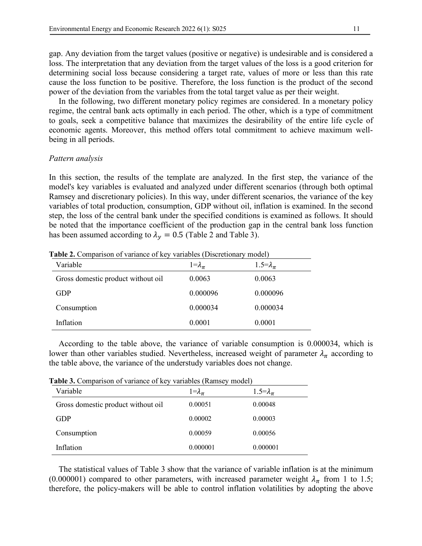gap. Any deviation from the target values (positive or negative) is undesirable and is considered a loss. The interpretation that any deviation from the target values of the loss is a good criterion for determining social loss because considering a target rate, values of more or less than this rate cause the loss function to be positive. Therefore, the loss function is the product of the second power of the deviation from the variables from the total target value as per their weight.

In the following, two different monetary policy regimes are considered. In a monetary policy regime, the central bank acts optimally in each period. The other, which is a type of commitment to goals, seek a competitive balance that maximizes the desirability of the entire life cycle of economic agents. Moreover, this method offers total commitment to achieve maximum wellbeing in all periods.

# *Pattern analysis*

In this section, the results of the template are analyzed. In the first step, the variance of the model's key variables is evaluated and analyzed under different scenarios (through both optimal Ramsey and discretionary policies). In this way, under different scenarios, the variance of the key variables of total production, consumption, GDP without oil, inflation is examined. In the second step, the loss of the central bank under the specified conditions is examined as follows. It should be noted that the importance coefficient of the production gap in the central bank loss function has been assumed according to  $\lambda_v = 0.5$  (Table 2 and Table 3).

| Variable                           | $1 = \lambda_{\pi}$ | 1.5= $\lambda_{\pi}$ |
|------------------------------------|---------------------|----------------------|
| Gross domestic product without oil | 0.0063              | 0.0063               |
| <b>GDP</b>                         | 0.000096            | 0.000096             |
| Consumption                        | 0.000034            | 0.000034             |
| Inflation                          | 0.0001              | 0.0001               |

**Table 2.** Comparison of variance of key variables (Discretionary model)

According to the table above, the variance of variable consumption is 0.000034, which is lower than other variables studied. Nevertheless, increased weight of parameter  $\lambda_{\pi}$  according to the table above, the variance of the understudy variables does not change.

**Table 3.** Comparison of variance of key variables (Ramsey model)

|                                    | Labic of Companion of Tamance of Rey Tamables (Tambo)<br>$\mathbf{u}$ |                      |  |  |  |
|------------------------------------|-----------------------------------------------------------------------|----------------------|--|--|--|
| Variable                           | $1 = \lambda_{\pi}$                                                   | 1.5= $\lambda_{\pi}$ |  |  |  |
| Gross domestic product without oil | 0.00051                                                               | 0.00048              |  |  |  |
| <b>GDP</b>                         | 0.00002                                                               | 0.00003              |  |  |  |
| Consumption                        | 0.00059                                                               | 0.00056              |  |  |  |
| Inflation                          | 0.000001                                                              | 0.000001             |  |  |  |

The statistical values of Table 3 show that the variance of variable inflation is at the minimum (0.000001) compared to other parameters, with increased parameter weight  $\lambda_{\pi}$  from 1 to 1.5; therefore, the policy-makers will be able to control inflation volatilities by adopting the above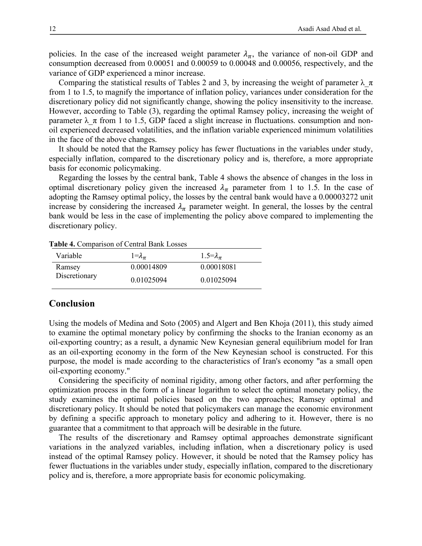policies. In the case of the increased weight parameter  $\lambda_{\pi}$ , the variance of non-oil GDP and consumption decreased from 0.00051 and 0.00059 to 0.00048 and 0.00056, respectively, and the variance of GDP experienced a minor increase.

Comparing the statistical results of Tables 2 and 3, by increasing the weight of parameter  $\lambda \pi$ from 1 to 1.5, to magnify the importance of inflation policy, variances under consideration for the discretionary policy did not significantly change, showing the policy insensitivity to the increase. However, according to Table (3), regarding the optimal Ramsey policy, increasing the weight of parameter  $\lambda \pi$  from 1 to 1.5, GDP faced a slight increase in fluctuations. consumption and nonoil experienced decreased volatilities, and the inflation variable experienced minimum volatilities in the face of the above changes.

It should be noted that the Ramsey policy has fewer fluctuations in the variables under study, especially inflation, compared to the discretionary policy and is, therefore, a more appropriate basis for economic policymaking.

Regarding the losses by the central bank, Table 4 shows the absence of changes in the loss in optimal discretionary policy given the increased  $\lambda_{\pi}$  parameter from 1 to 1.5. In the case of adopting the Ramsey optimal policy, the losses by the central bank would have a 0.00003272 unit increase by considering the increased  $\lambda_{\pi}$  parameter weight. In general, the losses by the central bank would be less in the case of implementing the policy above compared to implementing the discretionary policy.

| Variable      | $1 = \lambda_{\pi}$ | 1.5= $\lambda_{\pi}$ |
|---------------|---------------------|----------------------|
| Ramsey        | 0.00014809          | 0.00018081           |
| Discretionary | 0.01025094          | 0.01025094           |

**Table 4.** Comparison of Central Bank Losses

# **Conclusion**

Using the models of Medina and Soto (2005) and Algert and Ben Khoja (2011), this study aimed to examine the optimal monetary policy by confirming the shocks to the Iranian economy as an oil-exporting country; as a result, a dynamic New Keynesian general equilibrium model for Iran as an oil-exporting economy in the form of the New Keynesian school is constructed. For this purpose, the model is made according to the characteristics of Iran's economy "as a small open oil-exporting economy."

Considering the specificity of nominal rigidity, among other factors, and after performing the optimization process in the form of a linear logarithm to select the optimal monetary policy, the study examines the optimal policies based on the two approaches; Ramsey optimal and discretionary policy. It should be noted that policymakers can manage the economic environment by defining a specific approach to monetary policy and adhering to it. However, there is no guarantee that a commitment to that approach will be desirable in the future.

The results of the discretionary and Ramsey optimal approaches demonstrate significant variations in the analyzed variables, including inflation, when a discretionary policy is used instead of the optimal Ramsey policy. However, it should be noted that the Ramsey policy has fewer fluctuations in the variables under study, especially inflation, compared to the discretionary policy and is, therefore, a more appropriate basis for economic policymaking.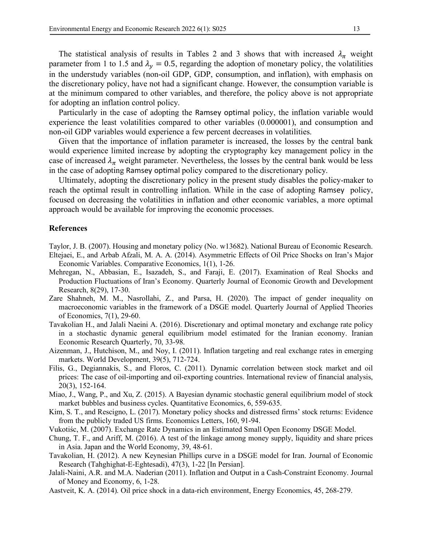The statistical analysis of results in Tables 2 and 3 shows that with increased  $\lambda_{\pi}$  weight parameter from 1 to 1.5 and  $\lambda_y = 0.5$ , regarding the adoption of monetary policy, the volatilities in the understudy variables (non-oil GDP, GDP, consumption, and inflation), with emphasis on the discretionary policy, have not had a significant change. However, the consumption variable is at the minimum compared to other variables, and therefore, the policy above is not appropriate for adopting an inflation control policy.

Particularly in the case of adopting the Ramsey optimal policy, the inflation variable would experience the least volatilities compared to other variables (0.000001), and consumption and non-oil GDP variables would experience a few percent decreases in volatilities.

Given that the importance of inflation parameter is increased, the losses by the central bank would experience limited increase by adopting the cryptography key management policy in the case of increased  $\lambda_{\pi}$  weight parameter. Nevertheless, the losses by the central bank would be less in the case of adopting Ramsey optimal policy compared to the discretionary policy.

Ultimately, adopting the discretionary policy in the present study disables the policy-maker to reach the optimal result in controlling inflation. While in the case of adopting Ramsey policy, focused on decreasing the volatilities in inflation and other economic variables, a more optimal approach would be available for improving the economic processes.

# **References**

Taylor, J. B. (2007). Housing and monetary policy (No. w13682). National Bureau of Economic Research.

- Eltejaei, E., and Arbab Afzali, M. A. A. (2014). Asymmetric Effects of Oil Price Shocks on Iran's Major Economic Variables. Comparative Economics, 1(1), 1-26.
- Mehregan, N., Abbasian, E., Isazadeh, S., and Faraji, E. (2017). Examination of Real Shocks and Production Fluctuations of Iran's Economy. Quarterly Journal of Economic Growth and Development Research, 8(29), 17-30.
- Zare Shahneh, M. M., Nasrollahi, Z., and Parsa, H. (2020). The impact of gender inequality on macroeconomic variables in the framework of a DSGE model. Quarterly Journal of Applied Theories of Economics, 7(1), 29-60.
- Tavakolian H., and Jalali Naeini A. (2016). Discretionary and optimal monetary and exchange rate policy in a stochastic dynamic general equilibrium model estimated for the Iranian economy. Iranian Economic Research Quarterly, 70, 33-98.
- Aizenman, J., Hutchison, M., and Noy, I. (2011). Inflation targeting and real exchange rates in emerging markets. World Development, 39(5), 712-724.
- Filis, G., Degiannakis, S., and Floros, C. (2011). Dynamic correlation between stock market and oil prices: The case of oil-importing and oil-exporting countries. International review of financial analysis, 20(3), 152-164.
- Miao, J., Wang, P., and Xu, Z. (2015). A Bayesian dynamic stochastic general equilibrium model of stock market bubbles and business cycles. Quantitative Economics, 6, 559-635.
- Kim, S. T., and Rescigno, L. (2017). Monetary policy shocks and distressed firms' stock returns: Evidence from the publicly traded US firms. Economics Letters, 160, 91-94.
- Vukotiśc, M. (2007). Exchange Rate Dynamics in an Estimated Small Open Economy DSGE Model.
- Chung, T. F., and Ariff, M. (2016). A test of the linkage among money supply, liquidity and share prices in Asia. Japan and the World Economy, 39, 48-61.
- Tavakolian, H. (2012). A new Keynesian Phillips curve in a DSGE model for Iran. Journal of Economic Research (Tahghighat-E-Eghtesadi), 47(3), 1-22 [In Persian].
- Jalali-Naini, A.R. and M.A. Naderian (2011). Inflation and Output in a Cash-Constraint Economy. Journal of Money and Economy, 6, 1-28.
- Aastveit, K. A. (2014). Oil price shock in a data-rich environment, Energy Economics, 45, 268-279.